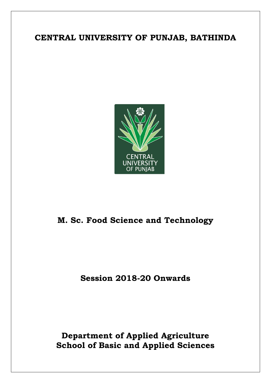# **CENTRAL UNIVERSITY OF PUNJAB, BATHINDA**



# **M. Sc. Food Science and Technology**

# **Session 2018-20 Onwards**

# **Department of Applied Agriculture School of Basic and Applied Sciences**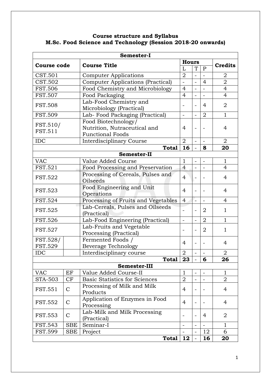| Semester-I                    |               |                                          |                   |                          |                |                |  |
|-------------------------------|---------------|------------------------------------------|-------------------|--------------------------|----------------|----------------|--|
|                               |               |                                          | <b>Hours</b>      |                          |                |                |  |
| <b>Course code</b>            |               | <b>Course Title</b>                      | L                 | T                        | $\mathbf{P}$   | <b>Credits</b> |  |
| CST.501                       |               | <b>Computer Applications</b>             | $\overline{2}$    |                          |                | 2              |  |
| CST.502                       |               | <b>Computer Applications (Practical)</b> | $\equiv$          | L,                       | $\overline{4}$ | $\overline{2}$ |  |
| <b>FST.506</b>                |               | Food Chemistry and Microbiology          |                   |                          |                | $\overline{4}$ |  |
| <b>FST.507</b>                |               | Food Packaging                           |                   | $\overline{a}$           |                | $\overline{4}$ |  |
| <b>FST.508</b>                |               | Lab-Food Chemistry and                   |                   |                          | 4              | $\overline{2}$ |  |
|                               |               | Microbiology (Practical)                 |                   | ÷,                       |                |                |  |
| <b>FST.509</b>                |               | Lab- Food Packaging (Practical)          | $\qquad \qquad -$ |                          | 2              | $\mathbf{1}$   |  |
|                               |               | Food Biotechnology/                      |                   |                          |                |                |  |
| FST.510/<br><b>FST.511</b>    |               | Nutrition, Nutraceutical and             | $\overline{4}$    |                          |                | 4              |  |
|                               |               | <b>Functional Foods</b>                  |                   |                          |                |                |  |
| IDC                           |               | <b>Interdisciplinary Course</b>          | $\overline{2}$    |                          |                | $\overline{2}$ |  |
|                               |               | <b>Total</b>                             | 16                |                          | 8              | 20             |  |
|                               |               | Semester-II                              |                   |                          |                |                |  |
| <b>VAC</b>                    |               | Value Added Course                       | $\mathbf{1}$      | $\blacksquare$           | $\blacksquare$ | $\mathbf{1}$   |  |
| FST.521                       |               | Food Processing and Preservation         | $\overline{4}$    |                          |                | $\overline{4}$ |  |
| <b>FST.522</b>                |               | Processing of Cereals, Pulses and        | 4                 |                          |                | 4              |  |
|                               |               | Oilseeds                                 |                   |                          |                |                |  |
| <b>FST.523</b>                |               | Food Engineering and Unit                | $\overline{4}$    |                          |                | 4              |  |
|                               |               | Operations                               |                   |                          |                |                |  |
| <b>FST.524</b>                |               | Processing of Fruits and Vegetables      | $\overline{4}$    | $\overline{a}$           | L.             | $\overline{4}$ |  |
| <b>FST.525</b>                |               | Lab-Cereals, Pulses and Oilseeds         |                   | ÷,                       | $\overline{2}$ | $\mathbf{1}$   |  |
|                               |               | (Practical)                              |                   |                          |                |                |  |
| <b>FST.526</b>                |               | Lab-Food Engineering (Practical)         |                   | $\overline{a}$           | $\overline{2}$ | $\mathbf{1}$   |  |
| <b>FST.527</b>                |               | Lab-Fruits and Vegetable                 |                   | $\overline{\phantom{0}}$ | 2              | $\mathbf{1}$   |  |
|                               |               | Processing (Practical)                   |                   |                          |                |                |  |
| FST.528/                      |               | Fermented Foods /                        | 4                 |                          |                | 4              |  |
| <b>FST.529</b>                |               | <b>Beverage Technology</b>               |                   |                          |                |                |  |
| IDC                           |               | Interdisciplinary course                 | $\overline{2}$    |                          |                | $\overline{2}$ |  |
|                               |               | Total                                    | 23                |                          | 6              | 26             |  |
|                               |               | Semester-III                             |                   |                          |                |                |  |
| <b>VAC</b>                    | EF            | Value Added Course-II                    | $\mathbf{1}$      | -                        | $\blacksquare$ | $\mathbf{1}$   |  |
| <b>STA-503</b>                | CF            | <b>Basic Statistics for Sciences</b>     | $\overline{2}$    |                          |                | $\overline{2}$ |  |
| <b>FST.551</b>                | $\mathcal{C}$ | Processing of Milk and Milk              | $\overline{4}$    | $\overline{\phantom{a}}$ |                | 4              |  |
|                               |               | Products                                 |                   |                          |                |                |  |
| <b>FST.552</b>                | $\mathcal{C}$ | Application of Enzymes in Food           | 4                 |                          |                | 4              |  |
|                               |               | Processing                               |                   |                          |                |                |  |
| $\mathbf C$<br><b>FST.553</b> |               | Lab-Milk and Milk Processing             |                   |                          | 4              | $\overline{2}$ |  |
|                               |               | (Practical)                              |                   |                          |                |                |  |
| <b>FST.543</b>                | <b>SBE</b>    | Seminar-I                                | $\qquad \qquad -$ | $\qquad \qquad$          |                | 1              |  |
| <b>FST.599</b>                | <b>SBE</b>    | Project                                  |                   |                          | 12             | 6              |  |
|                               |               | Total                                    | 12                |                          | 16             | 20             |  |

## **Course structure and Syllabus M.Sc. Food Science and Technology (Session 2018-20 onwards)**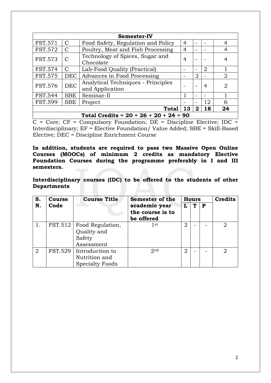|                                          |                                               | <b>Semester-IV</b>                                    |   |   |    |                |  |
|------------------------------------------|-----------------------------------------------|-------------------------------------------------------|---|---|----|----------------|--|
| <b>FST.571</b>                           | C                                             | Food Safety, Regulation and Policy                    | 4 |   |    | 4              |  |
| <b>FST.572</b>                           | C                                             | Poultry, Meat and Fish Processing                     | 4 |   |    | 4              |  |
| <b>FST.573</b>                           | C                                             | Technology of Spices, Sugar and<br>Chocolate          | 4 |   |    | 4              |  |
| <b>FST.574</b>                           | $\mathcal{C}$                                 | Lab-Food Quality (Practical)                          |   |   | 2  |                |  |
| <b>FST.575</b>                           | <b>DEC</b>                                    | Advances in Food Processing                           |   | 2 |    | $\overline{2}$ |  |
| <b>FST.576</b>                           | <b>DEC</b>                                    | Analytical Techniques - Principles<br>and Application |   |   | 4  | $\overline{2}$ |  |
| <b>FST.544</b>                           | <b>SBE</b>                                    | Seminar-II                                            |   |   |    |                |  |
| <b>FST.599</b>                           | <b>SBE</b>                                    | Project                                               |   |   | 12 | 6              |  |
|                                          | 13<br>18<br>24<br><b>Total</b><br>$\mathbf 2$ |                                                       |   |   |    |                |  |
| Total Credits = $20 + 26 + 20 + 24 = 90$ |                                               |                                                       |   |   |    |                |  |

 $C = Core$ ;  $CF = Company$  Foundation;  $DE = Discpline$  Elective;  $IDC =$ Interdisciplinary; EF = Elective Foundation/ Value Added; SBE = Skill-Based Elective; DEC = Discipline Enrichment Course

**In addition, students are required to pass two Massive Open Online Courses (MOOCs) of minimum 2 credits as mandatory Elective Foundation Courses during the programme preferably in I and III semesters.**

**Interdisciplinary courses (IDC) to be offered to the students of other Departments**

| S.             | Course | <b>Course Title</b>                                                  | <b>Semester of the</b>                          |                | <b>Hours</b> |             | <b>Credits</b>              |
|----------------|--------|----------------------------------------------------------------------|-------------------------------------------------|----------------|--------------|-------------|-----------------------------|
| N.             | Code   |                                                                      | academic year<br>the course is to<br>be offered | $\mathbf{L}$   |              | $\mathbf P$ |                             |
|                |        | FST.512   Food Regulation,<br>Quality and<br>Safety<br>Assessment    | 1st                                             | $\overline{2}$ |              |             | $\mathcal{D}_{\mathcal{L}}$ |
| $\overline{2}$ |        | FST.529   Introduction to<br>Nutrition and<br><b>Specialty Foods</b> | 2 <sub>nd</sub>                                 | $\overline{2}$ |              |             | 2                           |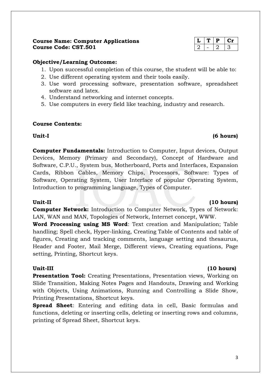### **Unit-III (10 hours)**

**Computer Fundamentals:** Introduction to Computer, Input devices, Output Devices, Memory (Primary and Secondary), Concept of Hardware and Software, C.P.U., System bus, Motherboard, Ports and Interfaces, Expansion Cards, Ribbon Cables, Memory Chips, Processors, Software: Types of Software, Operating System, User Interface of popular Operating System, Introduction to programming language, Types of Computer.

## Unit-II (10 hours)

**Computer Network:** Introduction to Computer Network, Types of Network: LAN, WAN and MAN, Topologies of Network, Internet concept, WWW.

**Word Processing using MS Word**: Text creation and Manipulation; Table handling; Spell check, Hyper-linking, Creating Table of Contents and table of figures, Creating and tracking comments, language setting and thesaurus, Header and Footer, Mail Merge, Different views, Creating equations, Page setting, Printing, Shortcut keys.

**Presentation Tool:** Creating Presentations, Presentation views, Working on Slide Transition, Making Notes Pages and Handouts, Drawing and Working with Objects, Using Animations, Running and Controlling a Slide Show, Printing Presentations, Shortcut keys.

**Spread Sheet**: Entering and editing data in cell, Basic formulas and functions, deleting or inserting cells, deleting or inserting rows and columns, printing of Spread Sheet, Shortcut keys.

## **Course Name: Computer Applications Course Code: CST.501**

## **Objective/Learning Outcome:**

- 1. Upon successful completion of this course, the student will be able to:
- 2. Use different operating system and their tools easily.
- 3. Use word processing software, presentation software, spreadsheet software and latex.
- 4. Understand networking and internet concepts.
- 5. Use computers in every field like teaching, industry and research.

# **Course Contents:**

## Unit-I (6 hours)

## $T | P | Cr$  $2 \, | - | 2 | 3$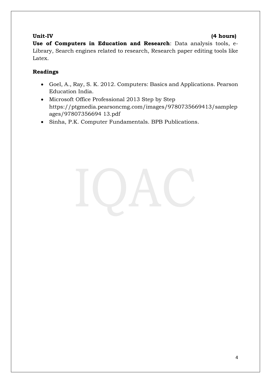## Unit-IV (4 hours)

**Use of Computers in Education and Research**: Data analysis tools, e-Library, Search engines related to research, Research paper editing tools like Latex.

## **Readings**

- Goel, A., Ray, S. K. 2012. Computers: Basics and Applications. Pearson Education India.
- Microsoft Office Professional 2013 Step by Step https://ptgmedia.pearsoncmg.com/images/9780735669413/samplep ages/97807356694 13.pdf
- Sinha, P.K. Computer Fundamentals. BPB Publications.

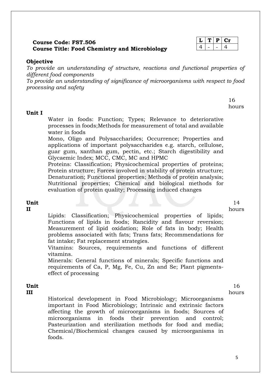## **Course Code: FST.506 Course Title: Food Chemistry and Microbiology**

#### **Objective**

*To provide an understanding of structure, reactions and functional properties of different food components*

*To provide an understanding of significance of microorganisms with respect to food processing and safety*

> 16 hours

#### **Unit I**

Water in foods: Function; Types; Relevance to deteriorative processes in foods;Methods for measurement of total and available water in foods

Mono, Oligo and Polysaccharides; Occurrence; Properties and applications of important polysaccharides e.g. starch, cellulose, guar gum, xanthan gum, pectin, etc.; Starch digestibility and Glycaemic Index; MCC, CMC, MC and HPMC

Proteins: Classification; Physicochemical properties of proteins; Protein structure; Forces involved in stability of protein structure; Denaturation; Functional properties; Methods of protein analysis; Nutritional properties; Chemical and biological methods for evaluation of protein quality; Processing induced changes

### **Unit**

**II**

14 hours

Lipids: Classification; Physicochemical properties of lipids; Functions of lipids in foods; Rancidity and flavour reversion; Measurement of lipid oxidation; Role of fats in body; Health problems associated with fats; Trans fats; Recommendations for fat intake; Fat replacement strategies.

Vitamins: Sources, requirements and functions of different vitamins.

Minerals: General functions of minerals; Specific functions and requirements of Ca, P, Mg, Fe, Cu, Zn and Se; Plant pigmentseffect of processing

## **Unit**

**III**

16

hours

Historical development in Food Microbiology; Microorganisms important in Food Microbiology; Intrinsic and extrinsic factors affecting the growth of microorganisms in foods; Sources of microorganisms in foods their prevention and control; Pasteurization and sterilization methods for food and media; Chemical/Biochemical changes caused by microorganisms in foods.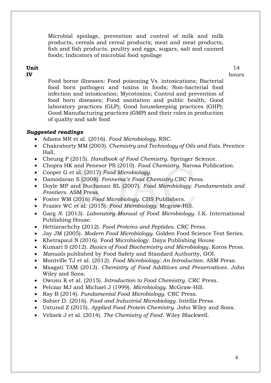Microbial spoilage, prevention and control of milk and milk products, cereals and cereal products; meat and meat products, fish and fish products, poultry and eggs, sugars, salt and canned foods; Indicators of microbial food spoilage

#### **Unit IV**

14 hours

Food borne illnesses: Food poisoning Vs. intoxications; Bacterial food born pathogen and toxins in foods; Non-bacterial food infection and intoxication; Mycotoxins; Control and prevention of food born diseases; Food sanitation and public health; Good laboratory practices (GLP); Good housekeeping practices (GHP); Good Manufacturing practices (GMP) and their roles in production of quality and safe food

- Adams MR et al. (2016). *Food Microbiology.* RSC.
- Chakraborty MM (2003). *Chemistry and Technology of Oils and Fats*. Prentice Hall.
- Cheung P (2015). *Handbook of Food Chemistry*. Springer Science.
- Chopra HK and Penesor PS (2010). *Food Chemistry*. Narosa Publication.
- Cooper G et al. (2017) *Food Microbiology.*
- Damodaran S (2008). *Fennema's Food Chemistry*.CRC Press.
- Doyle MP and Buchanan RL (2007). *Food Microbiology: Fundamentals and Frontiers*. ASM Press.
- Foster WM (2016) *Food Microbiology*. CBS Publishers.
- Frazier WC et al. (2015). *Food Microbiology*. Mcgraw-Hill.
- Garg *N.* (2013)*. Laboratory Manual of Food Microbiology*. I.K. International Publishing House.
- Hettiarachchy (2012). *Food Proteins and Peptides*. CRC Press.
- Jay JM (2005). *Modern Food Microbiology*. Golden Food Science Text Series.
- Khetrapaul N (2016). Food Microbiology. Daya Publishing House
- Kumari S (2012). *Basics of Food Biochemistry and Microbiology*. Koros Press.
- *Manuals* published by Food Safety and Standard Authority, GOI.
- Montville TJ et al. (2012). *Food Microbiology: An Introduction*. ASM Press.
- Msagati TAM (2013). *Chemistry of Food Additives and Preservatives*. John Wiley and Sons.
- Owusu K et al. (2015). *Introduction to Food Chemistry*. CRC Press.
- Pelczar MJ and Michael J (1999). *Microbiology*. McGraw-Hill.
- Ray B (2014). *Fundamental Food Microbiology*. CRC Press.
- Sohier D. (2016). *Food and Industrial Microbiology*. Intelliz Press.
- Ustunol Z (2015). *Applied Food Protein Chemistry*. John Wiley and Sons.
- Velisek J et al. (2014). *The Chemistry of Food*. Wiley Blackwell.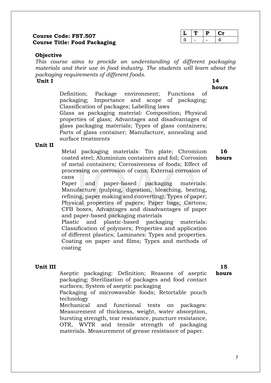## **Course Code: FST.507 Course Title: Food Packaging**

#### **Objective**

*This course aims to provide an understanding of different packaging materials and their use in food industry. The students will learn about the packaging requirements of different foods.*

**Unit I 14**

# **hours**

Definition; Package environment; Functions of packaging; Importance and scope of packaging; Classification of packages; Labelling laws

Glass as packaging material: Composition; Physical properties of glass; Advantages and disadvantages of glass packaging materials; Types of glass containers; Parts of glass container; Manufacture, annealing and surface treatments

#### **Unit II**

Metal packaging materials: Tin plate; Chromium coated steel; Aluminium containers and foil; Corrosion of metal containers; Corrosiveness of foods; Effect of processing on corrosion of cans; External corrosion of cans **16 hours**

Paper and paper-based packaging materials: Manufacture (pulping, digestion, bleaching, beating, refining, paper making and converting); Types of paper; Physical properties of papers; Paper bags; Cartons; CFB boxes, Advantages and disadvantages of paper and paper-based packaging materials

Plastic and plastic-based packaging materials: Classification of polymers; Properties and application of different plastics; Laminates: Types and properties. Coating on paper and films; Types and methods of coating

### **Unit III**

**15 hours**

Aseptic packaging: Definition; Reasons of aseptic packaging; Sterilization of packages and food contact surfaces; System of aseptic packaging

Packaging of microwavable foods; Retortable pouch technology

Mechanical and functional tests on packages: Measurement of thickness, weight, water absorption, bursting strength, tear resistance, puncture resistance, OTR, WVTR and tensile strength of packaging materials. Measurement of grease resistance of paper.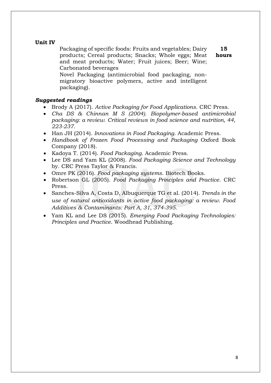## **Unit IV**

Packaging of specific foods: Fruits and vegetables; Dairy products; Cereal products; Snacks; Whole eggs; Meat and meat products; Water; Fruit juices; Beer; Wine; Carbonated beverages **15 hours**

Novel Packaging (antimicrobial food packaging, nonmigratory bioactive polymers, active and intelligent packaging).

- Brody A (2017). *Active Packaging for Food Applications*. CRC Press.
- *Cha DS & Chinnan M S (2004). Biopolymer-based antimicrobial packaging: a review. Critical reviews in food science and nutrition, 44, 223-237.*
- Han JH (2014). *Innovations in Food Packaging*. Academic Press.
- *Handbook of Frozen Food Processing and Packaging* Oxford Book Company (2018)*.*
- Kadoya T. (2014). *Food Packaging*. Academic Press.
- Lee DS and Yam KL (2008). *Food Packaging Science and Technology*  by. CRC Press Taylor & Francis*.*
- Omre PK (2016). *Food packaging systems*. Biotech Books.
- Robertson GL (2005). *Food Packaging Principles and Practice*. CRC Press.
- Sanches-Silva A, Costa D, Albuquerque TG et al. (2014). *Trends in the use of natural antioxidants in active food packaging: a review. Food Additives & Contaminants: Part A, 31, 374-395.*
- Yam KL and Lee DS (2015). *Emerging Food Packaging Technologies: Principles and Practice*. Woodhead Publishing.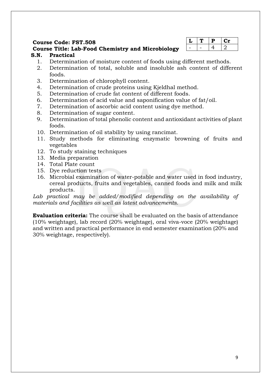### **Course Code: FST.508**

## **Course Title: Lab-Food Chemistry and Microbiology S.N. Practical**

- 1. Determination of moisture content of foods using different methods.
- 2. Determination of total, soluble and insoluble ash content of different foods.
- 3. Determination of chlorophyll content.
- 4. Determination of crude proteins using Kjeldhal method.
- 5. Determination of crude fat content of different foods.
- 6. Determination of acid value and saponification value of fat/oil.
- 7. Determination of ascorbic acid content using dye method.
- 8. Determination of sugar content.
- 9. Determination of total phenolic content and antioxidant activities of plant foods.
- 10. Determination of oil stability by using rancimat.
- 11. Study methods for eliminating enzymatic browning of fruits and vegetables
- 12. To study staining techniques
- 13. Media preparation
- 14. Total Plate count
- 15. Dye reduction tests
- 16. Microbial examination of water-potable and water used in food industry, cereal products, fruits and vegetables, canned foods and milk and milk products.

Lab practical may be added/modified depending on the availability of *materials and facilities as well as latest advancements.*

**Evaluation criteria:** The course shall be evaluated on the basis of attendance (10% weightage), lab record (20% weightage), oral viva-voce (20% weightage) and written and practical performance in end semester examination (20% and 30% weightage, respectively).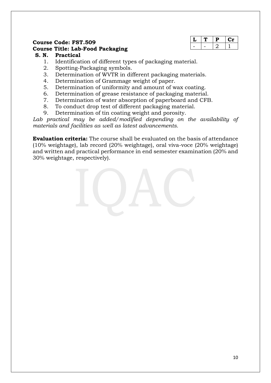## **Course Code: FST.509 Course Title: Lab-Food Packaging**

|  | D |  |
|--|---|--|
|  |   |  |

## **S. N. Practical**

- 1. Identification of different types of packaging material.
- 2. Spotting-Packaging symbols.
- 3. Determination of WVTR in different packaging materials.
- 4. Determination of Grammage weight of paper.
- 5. Determination of uniformity and amount of wax coating.
- 6. Determination of grease resistance of packaging material.
- 7. Determination of water absorption of paperboard and CFB.
- 8. To conduct drop test of different packaging material.
- 9. Determination of tin coating weight and porosity.

Lab practical may be added/modified depending on the availability of *materials and facilities as well as latest advancements.*

**Evaluation criteria:** The course shall be evaluated on the basis of attendance (10% weightage), lab record (20% weightage), oral viva-voce (20% weightage) and written and practical performance in end semester examination (20% and 30% weightage, respectively).

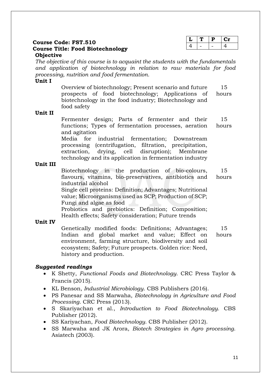### **Course Code: FST.510 Course Title: Food Biotechnology Objective**

|  | ъ. |  |
|--|----|--|
|  |    |  |

*The objective of this course is to acquaint the students with the fundamentals and application of biotechnology in relation to raw materials for food processing, nutrition and food fermentation.* 

#### **Unit I**

Overview of biotechnology; Present scenario and future prospects of food biotechnology; Applications of biotechnology in the food industry; Biotechnology and food safety 15 hours

#### **Unit II**

Fermenter design; Parts of fermenter and their functions; Types of fermentation processes, aeration and agitation 15 hours

Media for industrial fermentation; Downstream processing (centrifugation, filtration, precipitation, extraction, drying, cell disruption); Membrane technology and its application in fermentation industry

#### **Unit III**

Biotechnology in the production of bio-colours, flavours, vitamins, bio-preservatives, antibiotics and industrial alcohol 15 hours

Single cell proteins: Definition; Advantages; Nutritional value; Microorganisms used as SCP; Production of SCP; Fungi and algae as food

Probiotics and prebiotics: Definition; Composition; Health effects; Safety consideration; Future trends

#### **Unit IV**

Genetically modified foods: Definitions; Advantages; Indian and global market and value; Effect on environment, farming structure, biodiversity and soil ecosystem; Safety; Future prospects. Golden rice: Need, history and production. 15 hours

- K Shetty, *Functional Foods and Biotechnology.* CRC Press Taylor & Francis (2015).
- KL Benson, *Industrial Microbiology*. CBS Publishers (2016).
- PS Panesar and SS Marwaha, *Biotechnology in Agriculture and Food Processing*. CRC Press (2013).
- S Skariyachan et al., *Introduction to Food Biotechnology.* CBS Publisher (2012).
- SS Kariyachan, *Food Biotechnology*. CBS Publisher (2012).
- SS Marwaha and JK Arora, *Biotech Strategies in Agro processing*. Asiatech (2003).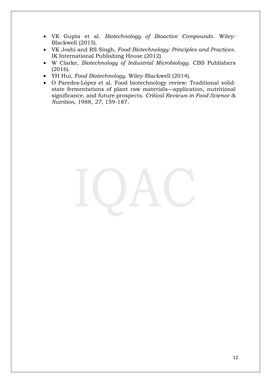- VK Gupta et al. *Biotechnology of Bioactive Compounds*. Wiley-Blackwell (2015).
- VK Joshi and RS Singh, *Food Biotechnology: Principles and Practices*. IK International Publishing House (2012)
- W Clarke, *Biotechnology of Industrial Microbiology*. CBS Publishers (2016).
- YH Hui, *Food Biotechnology*. Wiley-Blackwell (2014).
- O Paredes‐López et al. Food biotechnology review: Traditional solid‐ state fermentations of plant raw materials—application, nutritional significance, and future prospects. *Critical Reviews in Food Science & Nutrition*, 1988, *27*, 159-187.

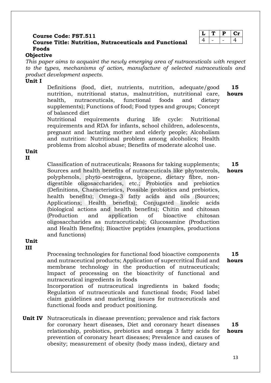## **Course Code: FST.511**

## **Course Title: Nutrition, Nutraceuticals and Functional Foods**

## **Objective**

*This paper aims to acquaint the newly emerging area of nutraceuticals with respect to the types, mechanisms of action, manufacture of selected nutraceuticals and product development aspects.* 

### **Unit I**

Definitions (food, diet, nutrients, nutrition, adequate/good nutrition, nutritional status, malnutrition, nutritional care, health, nutraceuticals, functional foods and dietary supplements); Functions of food; Food types and groups; Concept of balanced diet **15 hours**

Nutritional requirements during life cycle: Nutritional requirements and RDA for infants, school children, adolescents, pregnant and lactating mother and elderly people; Alcoholism and nutrition: Nutritional problem among alcoholics; Health problems from alcohol abuse; Benefits of moderate alcohol use.

**Unit** 

**II**

Classification of nutraceuticals; Reasons for taking supplements; Sources and health benefits of nutraceuticals like phytosterols, polyphenols, phyto-oestrogens, lycopene, dietary fibre, nondigestible oligosaccharides, etc.; Probiotics and prebiotics (Definitions, Characteristics, Possible probiotics and prebiotics, health benefits); Omega-3 fatty acids and oils (Sources; Applications; Health benefits); Conjugated linoleic acids (biological actions and health benefits); Chitin and chitosan (Production and application of bioactive chitosan oligosaccharides as nutraceuticals); Glucosamine (Production and Health Benefits); Bioactive peptides (examples, productions and functions) **15 hours**

#### **Unit III**

Processing technologies for functional food bioactive components and nutraceutical products; Application of supercritical fluid and membrane technology in the production of nutraceuticals; Impact of processing on the bioactivity of functional and nutraceutical ingredients in foods **15 hours**

Incorporation of nutraceutical ingredients in baked foods; Regulation of nutraceuticals and functional foods; Food label claim guidelines and marketing issues for nutraceuticals and functional foods and product positioning.

**Unit IV** Nutraceuticals in disease prevention; prevalence and risk factors for coronary heart diseases, Diet and coronary heart diseases relationship, probiotics, prebiotics and omega 3 fatty acids for prevention of coronary heart diseases; Prevalence and causes of obesity; measurement of obesity (body mass index), dietary and

**15 hours**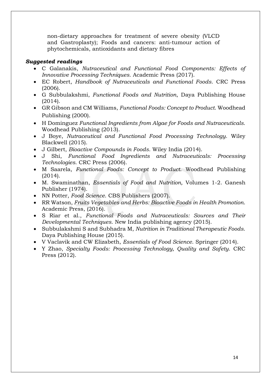non-dietary approaches for treatment of severe obesity (VLCD and Gastroplasty); Foods and cancers: anti-tumour action of phytochemicals, antioxidants and dietary fibres

- C Galanakis, *Nutraceutical and Functional Food Components: Effects of Innovative Processing Techniques*. Academic Press (2017).
- EC Robert, *Handbook of Nutraceuticals and Functional Foods*. CRC Press (2006).
- G Subbulakshmi, *Functional Foods and Nutrition*, Daya Publishing House (2014).
- GR Gibson and CM Williams, *Functional Foods: Concept to Product*. Woodhead Publishing (2000).
- H Dominguez *Functional Ingredients from Algae for Foods and Nutraceuticals*. Woodhead Publishing (2013).
- J Boye, *Nutraceutical and Functional Food Processing Technology*. Wiley Blackwell (2015).
- J Gilbert, *Bioactive Compounds in Foods*. Wiley India (2014).
- J Shi, *Functional Food Ingredients and Nutraceuticals: Processing Technologies*. CRC Press (2006).
- M Saarela, *Functional Foods: Concept to Product*. Woodhead Publishing (2014).
- M. Swaminathan, *Essentials of Food and Nutrition,* Volumes 1-2. Ganesh Publisher (1974).
- NN Potter, *Food Science*. CBS Publishers (2007).
- RR Watson, *Fruits Vegetables and Herbs: Bioactive Foods in Health Promotion*. Academic Press, (2016).
- S Riar et al., *Functional Foods and Nutraceuticals: Sources and Their Developmental Techniques*. New India publishing agency (2015).
- Subbulakshmi S and Subhadra M, *Nutrition in Traditional Therapeutic Foods*. Daya Publishing House (2015).
- V Vaclavik and CW Elizabeth, *Essentials of Food Science*. Springer (2014).
- Y Zhao, *Specialty Foods: Processing Technology, Quality and Safety*. CRC Press (2012).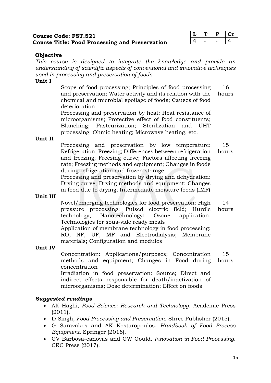## **Course Code: FST.521 Course Title: Food Processing and Preservation**

## **Objective**

*This course is designed to integrate the knowledge and provide an understanding of scientific aspects of conventional and innovative techniques used in processing and preservation of foods*

**Unit I**

Scope of food processing; Principles of food processing and preservation; Water activity and its relation with the chemical and microbial spoilage of foods; Causes of food deterioration 16 hours

Processing and preservation by heat: Heat resistance of microorganisms; Protective effect of food constituents; Blanching; Pasteurization; Sterilization and UHT processing; Ohmic heating; Microwave heating, etc.

## **Unit II**

Processing and preservation by low temperature: Refrigeration; Freezing; Differences between refrigeration and freezing; Freezing curve; Factors affecting freezing rate; Freezing methods and equipment; Changes in foods during refrigeration and frozen storage 15

Processing and preservation by drying and dehydration: Drying curve; Drying methods and equipment; Changes in food due to drying; Intermediate moisture foods (IMF)

### **Unit III**

Novel/emerging technologies for food preservation: High pressure processing; Pulsed electric field; Hurdle technology; Nanotechnology; Ozone application; Technologies for sous-vide ready meals 14 hours

Application of membrane technology in food processing: RO, NF, UF, MF and Electrodialysis; Membrane materials; Configuration and modules

## **Unit IV**

Concentration: Applications/purposes; Concentration methods and equipment; Changes in Food during concentration Irradiation in food preservation: Source; Direct and indirect effects responsible for death/inactivation of microorganisms; Dose determination; Effect on foods 15 hours

## *Suggested readings*

- AK Haghi, *Food Science: Research and Technology*. Academic Press (2011).
- D Singh, *Food Processing and Preservation*. Shree Publisher (2015).
- G Saravakos and AK Kostaropoulos, *Handbook of Food Process Equipment*. Springer (2016).
- GV Barbosa-canovas and GW Gould, *Innovation in Food Processing*. CRC Press (2017).

15

hours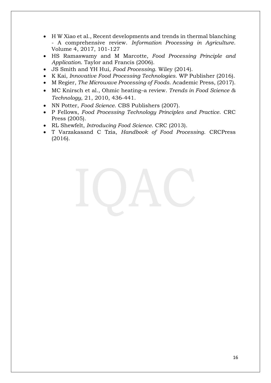- H W Xiao et al., Recent developments and trends in thermal blanching - A comprehensive review. *Information Processing in Agriculture*. Volume 4, 2017, 101-127
- HS Ramaswamy and M Marcotte, *Food Processing Principle and Application*. Taylor and Francis (2006).
- JS Smith and YH Hui, *Food Processing*. Wiley (2014).
- K Kai, *Innovative Food Processing Technologies*. WP Publisher (2016).
- M Regier, *The Microwave Processing of Foods*. Academic Press, (2017).
- MC Knirsch et al., Ohmic heating–a review. *Trends in Food Science & Technology*, 21, 2010, 436-441.
- NN Potter, *Food Science*. CBS Publishers (2007).
- P Fellows, *Food Processing Technology Principles and Practice*. CRC Press (2005).
- RL Shewfelt, *Introducing Food Science*. CRC (2013).
- T Varzakasand C Tzia, *Handbook of Food Processing*. CRCPress (2016).

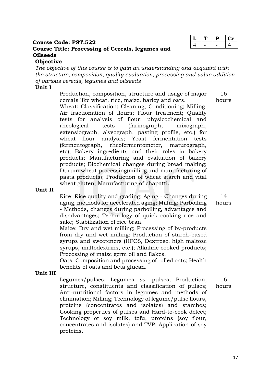|  | D |  |
|--|---|--|
|  |   |  |

#### **Course Code: FST.522 Course Title: Processing of Cereals, legumes and Oilseeds Objective**

*The objective of this course is to gain an understanding and acquaint with the structure, composition, quality evaluation, processing and value addition of various cereals, legumes and oilseeds* 

#### **Unit I**

Production, composition, structure and usage of major cereals like wheat, rice, maize, barley and oats. Wheat: Classification; Cleaning; Conditioning; Milling; Air fractionation of flours; Flour treatment; Quality tests for analysis of flour: physicochemical and rheological tests (farinograph, mixograph, extensiograph, alveograph, pasting profile, etc.) for wheat flour analysis; Yeast fermentation tests (fermentograph, rheofermentometer, maturograph, etc); Bakery ingredients and their roles in bakery products; Manufacturing and evaluation of bakery products; Biochemical changes during bread making; Durum wheat processing(milling and manufacturing of pasta products); Production of wheat starch and vital wheat gluten; Manufacturing of chapatti. hours

#### **Unit II**

Rice: Rice quality and grading; Aging - Changes during aging, methods for accelerated aging; Milling; Parboiling - Methods, changes during parboiling, advantages and disadvantages; Technology of quick cooking rice and sake; Stabilization of rice bran.

Maize: Dry and wet milling; Processing of by-products from dry and wet milling; Production of starch-based syrups and sweeteners (HFCS, Dextrose, high maltose syrups, maltodextrins, etc.); Alkaline cooked products; Processing of maize germ oil and flakes.

Oats: Composition and processing of rolled oats; Health benefits of oats and beta glucan.

#### **Unit III**

Legumes/pulses: Legumes *vs*. pulses; Production, structure, constituents and classification of pulses; Anti-nutritional factors in legumes and methods of elimination; Milling; Technology of legume/pulse flours, proteins (concentrates and isolates) and starches; Cooking properties of pulses and Hard-to-cook defect; Technology of soy milk, tofu, proteins (soy flour, concentrates and isolates) and TVP; Application of soy proteins.

14 hours

16 hours

16

17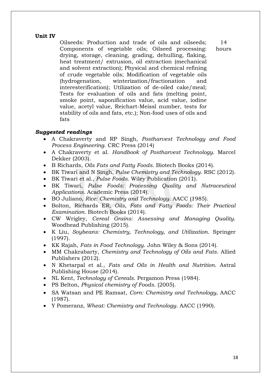#### **Unit IV**

Oilseeds: Production and trade of oils and oilseeds; Components of vegetable oils; Oilseed processing: drying, storage, cleaning, grading, dehulling, flaking, heat treatment/ extrusion, oil extraction (mechanical and solvent extraction); Physical and chemical refining of crude vegetable oils; Modification of vegetable oils (hydrogenation, winterization/fractionation and interesterification); Utilization of de-oiled cake/meal; Tests for evaluation of oils and fats (melting point, smoke point, saponification value, acid value, iodine value, acetyl value, Reichart-Meissl number, tests for stability of oils and fats, etc.); Non-food uses of oils and fats

*Suggested readings*

- A Chakraverty and RP Singh, *Postharvest Technology and Food Process Engineering*. CRC Press (2014)
- A Chakraverty et al. *Handbook of Postharvest Technology*. Marcel Dekker (2003).
- B Richards, *Oils Fats and Fatty Foods*. Biotech Books (2014).
- BK Tiwari and N Singh, *Pulse Chemistry and Technology*. RSC (2012).
- BK Tiwari et al., *Pulse Foods*. Wiley Publication (2011).
- BK Tiwari, *Pulse Foods: Processing Quality and Nutraceutical Applications*. Academic Press (2014).
- BO Juliano, *Rice: Chemistry and Technology*. AACC (1985).
- Bolton, Richards ER, *Oils, Fats and Fatty Foods: Their Practical Examination*. Biotech Books (2014).
- CW Wrigley, *Cereal Grains: Assessing and Managing Quality*. Woodhead Publishing (2015).
- K Liu, *Soybeans: Chemistry, Technology, and Utilization*. Springer (1997).
- KK Rajah, *Fats in Food Technology*. John Wiley & Sons (2014).
- MM Chakrabarty, *Chemistry and Technology of Oils and Fats*. Allied Publishers (2012).
- N Khetarpal et al., *Fats and Oils in Health and Nutrition*. Astral Publishing House (2014).
- NL Kent, *Technology of Cereals*. Pergamon Press (1984).
- PS Belton, *Physical chemistry of Foods*. (2005).
- SA Watsan and PE Ramsat, *Corn: Chemistry and Technology*, AACC (1987).
- Y Pomeranz, *Wheat: Chemistry and Technology*. AACC (1990).

14 hours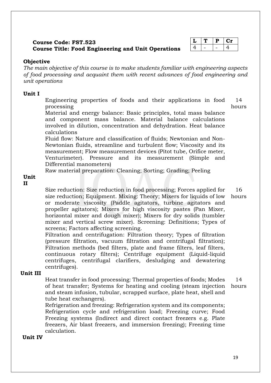## **Course Code: FST.523 Course Title: Food Engineering and Unit Operations**

|  | I. |  |
|--|----|--|
|  |    |  |

### **Objective**

*The main objective of this course is to make students familiar with engineering aspects of food processing and acquaint them with recent advances of food engineering and unit operations*

## **Unit I**

Engineering properties of foods and their applications in food processing 14 hours

Material and energy balance: Basic principles, total mass balance and component mass balance. Material balance calculations involved in dilution, concentration and dehydration. Heat balance calculations

Fluid flow: Nature and classification of fluids; Newtonian and Non-Newtonian fluids, streamline and turbulent flow; Viscosity and its measurement; Flow measurement devices (Pitot tube, Orifice meter, Venturimeter). Pressure and its measurement (Simple and Differential manometers)

Raw material preparation: Cleaning; Sorting; Grading; Peeling

#### **Unit II**

Size reduction: Size reduction in food processing; Forces applied for size reduction; Equipment. Mixing: Theory; Mixers for liquids of low or moderate viscosity (Paddle agitators, turbine agitators and propeller agitators); Mixers for high viscosity pastes (Pan Mixer, horizontal mixer and dough mixer); Mixers for dry solids (tumbler mixer and vertical screw mixer). Screening: Definitions; Types of screens; Factors affecting screening.

Filtration and centrifugation: Filtration theory; Types of filtration (pressure filtration, vacuum filtration and centrifugal filtration); Filtration methods (bed filters, plate and frame filters, leaf filters, continuous rotary filters); Centrifuge equipment (Liquid-liquid centrifuges, centrifugal clarifiers, desludging and dewatering centrifuges).

### **Unit III**

Heat transfer in food processing: Thermal properties of foods; Modes of heat transfer; Systems for heating and cooling (steam injection and steam infusion, tubular, scrapped surface, plate heat, shell and tube heat exchangers).

Refrigeration and freezing: Refrigeration system and its components; Refrigeration cycle and refrigeration load; Freezing curve; Food Freezing systems (Indirect and direct contact freezers e.g. Plate freezers, Air blast freezers, and immersion freezing); Freezing time calculation.

### **Unit IV**

14 hours

16 hours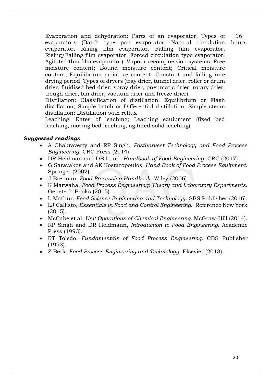Evaporation and dehydration: Parts of an evaporator; Types of evaporators (Batch type pan evaporator, Natural circulation evaporator, Rising film evaporator, Falling film evaporator, Rising/Falling film evaporator, Forced circulation type evaporator, Agitated thin film evaporator). Vapour recompression systems; Free moisture content; Bound moisture content; Critical moisture content; Equilibrium moisture content; Constant and falling rate drying period; Types of dryers (tray drier, tunnel drier, roller or drum drier, fluidized bed drier, spray drier, pneumatic drier, rotary drier, trough drier, bin drier, vacuum drier and freeze drier). 16 hours

Distillation: Classification of distillation; Equilibrium or Flash distillation; Simple batch or Differential distillation; Simple steam distillation; Distillation with reflux

Leaching: Rates of leaching; Leaching equipment (fixed bed leaching, moving bed leaching, agitated solid leaching).

- A Chakraverty and RP Singh, *Postharvest Technology and Food Process Engineering*. CRC Press (2014)
- DR Heldman and DB Lund, *Handbook of Food Engineering*. CRC (2017).
- G Saravakos and AK Kostaropoulos, *Hand Book of Food Process Equipment*. Springer (2002).
- J Brennan, *Food Processing Handbook*. Wiley (2006)
- K Marwaha, *Food Process Engineering: Theory and Laboratory Experiments*. Genetech Books (2015).
- L Mathur, *Food Science Engineering and Technology*. SBS Publisher (2016).
- LJ Callisto, *Essentials in Food and Control Engineering.* Reference New York (2015).
- McCabe et al, *Unit Operations of Chemical Engineering.* McGraw-Hill (2014).
- RP Singh and DR Heldmann, *Introduction to Food Engineering*. Academic Press (1993).
- RT Toledo, *Fundamentals of Food Process Engineering*. CBS Publisher (1993).
- Z Berk, *Food Process Engineering and Technology*. Elsevier (2013).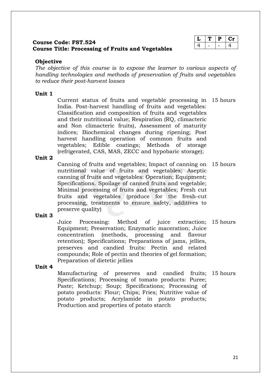## **Course Code: FST.524 Course Title: Processing of Fruits and Vegetables**

|  | J. |  |
|--|----|--|
|  |    |  |

## **Objective**

*The objective of this course is to expose the learner to various aspects of handling technologies and methods of preservation of fruits and vegetables to reduce their post-harvest losses*

### **Unit 1**

Current status of fruits and vegetable processing in 15 hours India. Post-harvest handling of fruits and vegetables: Classification and composition of fruits and vegetables and their nutritional value; Respiration (RQ, climacteric and Non climacteric fruits), Assessment of maturity indices; Biochemical changes during ripening; Post harvest handling operation of common fruits and vegetables; Edible coatings; Methods of storage (refrigerated, CAS, MAS, ZECC and hypobaric storage);

## **Unit 2**

Canning of fruits and vegetables; Impact of canning on 15 hours nutritional value of fruits and vegetables; Aseptic canning of fruits and vegetables: Operation; Equipment; Specifications. Spoilage of canned fruits and vegetable; Minimal processing of fruits and vegetables; Fresh cut fruits and vegetables (produce for the fresh-cut processing, treatments to ensure safety, additives to preserve quality)

## **Unit 3**

Juice Processing: Method of juice Equipment; Preservation; Enzymatic maceration; Juice concentration (methods, processing and flavour retention); Specifications; Preparations of jams, jellies, preserves and candied fruits: Pectin and related compounds; Role of pectin and theories of gel formation; Preparation of dietetic jellies extraction: 15 hours

### **Unit 4**

Manufacturing of preserves and candied fruits; 15 hours Specifications; Processing of tomato products: Puree; Paste; Ketchup; Soup; Specifications; Processing of potato products: Flour; Chips; Fries; Nutritive value of potato products; Acrylamide in potato products; Production and properties of potato starch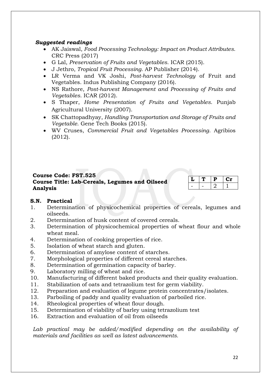## *Suggested readings*

- AK Jaiswal, *Food Processing Technology: Impact on Product Attributes*. CRC Press (2017)
- G Lal, *Preservation of Fruits and Vegetables*. ICAR (2015).
- J Jethro, *Tropical Fruit Processing*. AP Publisher (2014).
- LR Verma and VK Joshi, *Post-harvest Technology* of Fruit and Vegetables. Indus Publishing Company (2016).
- NS Rathore, *Post-harvest Management and Processing of Fruits and Vegetables*. ICAR (2012).
- S Thaper, *Home Presentation of Fruits and Vegetables*. Punjab Agricultural University (2007).
- SK Chattopadhyay, *Handling Transportation and Storage of Fruits and Vegetable*. Gene Tech Books (2015).
- WV Cruses, *Commercial Fruit and Vegetables Processing*. Agribios (2012).

## **Course Code: FST.525**

**Course Title: Lab-Cereals, Legumes and Oilseed Analysis**

| c. | D |  |
|----|---|--|
|    |   |  |

## **S.N. Practical**

- 1. Determination of physicochemical properties of cereals, legumes and oilseeds.
- 2. Determination of husk content of covered cereals.
- 3. Determination of physicochemical properties of wheat flour and whole wheat meal.
- 4. Determination of cooking properties of rice.
- 5. Isolation of wheat starch and gluten.
- 6. Determination of amylose content of starches.
- 7. Morphological properties of different cereal starches.
- 8. Determination of germination capacity of barley.
- 9. Laboratory milling of wheat and rice.
- 10. Manufacturing of different baked products and their quality evaluation.
- 11. Stabilization of oats and tetrazolium test for germ viability.
- 12. Preparation and evaluation of legume protein concentrates/isolates.
- 13. Parboiling of paddy and quality evaluation of parboiled rice.
- 14. Rheological properties of wheat flour dough.
- 15. Determination of viability of barley using tetrazolium test
- 16. Extraction and evaluation of oil from oilseeds

Lab practical may be added/modified depending on the availability of *materials and facilities as well as latest advancements.*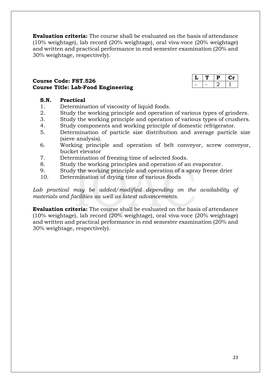**Evaluation criteria:** The course shall be evaluated on the basis of attendance (10% weightage), lab record (20% weightage), oral viva-voce (20% weightage) and written and practical performance in end semester examination (20% and 30% weightage, respectively).

### **Course Code: FST.526 Course Title: Lab-Food Engineering**

|  | н |  |
|--|---|--|
|  |   |  |

#### **S.N. Practical**

- 1. Determination of viscosity of liquid foods.
- 2. Study the working principle and operation of various types of grinders.
- 3. Study the working principle and operation of various types of crushers.
- 4. Study components and working principle of domestic refrigerator.
- 5. Determination of particle size distribution and average particle size (sieve analysis).
- 6. Working principle and operation of belt conveyor, screw conveyor, bucket elevator
- 7. Determination of freezing time of selected foods.
- 8. Study the working principles and operation of an evaporator.
- 9. Study the working principle and operation of a spray freeze drier
- 10. Determination of drying time of various foods

Lab practical may be added/modified depending on the availability of *materials and facilities as well as latest advancements.*

**Evaluation criteria:** The course shall be evaluated on the basis of attendance (10% weightage), lab record (20% weightage), oral viva-voce (20% weightage) and written and practical performance in end semester examination (20% and 30% weightage, respectively).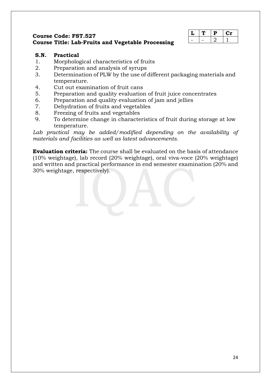## **Course Code: FST.527 Course Title: Lab-Fruits and Vegetable Processing**

|  | D |  |
|--|---|--|
|  |   |  |

## **S.N. Practical**

- 1. Morphological characteristics of fruits
- 2. Preparation and analysis of syrups
- 3. Determination of PLW by the use of different packaging materials and temperature.
- 4. Cut out examination of fruit cans
- 5. Preparation and quality evaluation of fruit juice concentrates
- 6. Preparation and quality evaluation of jam and jellies
- 7. Dehydration of fruits and vegetables
- 8. Freezing of fruits and vegetables
- 9. To determine change in characteristics of fruit during storage at low temperature.

Lab practical may be added/modified depending on the availability of *materials and facilities as well as latest advancements.*

**Evaluation criteria:** The course shall be evaluated on the basis of attendance (10% weightage), lab record (20% weightage), oral viva-voce (20% weightage) and written and practical performance in end semester examination (20% and 30% weightage, respectively).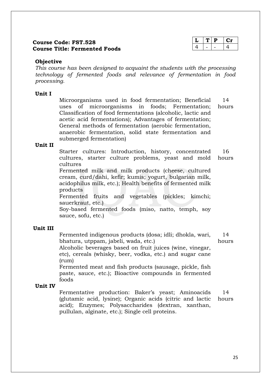## **Course Code: FST.528 Course Title: Fermented Foods**

#### **Objective**

*This course has been designed to acquaint the students with the processing technology of fermented foods and relevance of fermentation in food processing.*

#### **Unit I**

Microorganisms used in food fermentation; Beneficial uses of microorganisms in foods; Fermentation; Classification of food fermentations (alcoholic, lactic and acetic acid fermentations); Advantages of fermentation; General methods of fermentation (aerobic fermentation, anaerobic fermentation, solid state fermentation and submerged fermentation) 14 hours

#### **Unit II**

Starter cultures: Introduction, history, concentrated cultures, starter culture problems, yeast and mold cultures 16 hours

Fermented milk and milk products (cheese, cultured cream, curd/dahi, kefir; kumis; yogurt, bulgarian milk, acidophilus milk, etc.); Health benefits of fermented milk products

Fermented fruits and vegetables (pickles; kimchi; sauerkraut, etc.)

Soy-based fermented foods (miso, natto, temph, soy sauce, sofu, etc.)

#### **Unit III**

Fermented indigenous products (dosa; idli; dhokla, wari, bhatura, utppam, jabeli, wada, etc.) Alcoholic beverages based on fruit juices (wine, vinegar, etc), cereals (whisky, beer, vodka, etc.) and sugar cane 14 hours

(rum)

Fermented meat and fish products (sausage, pickle, fish paste, sauce, etc.); Bioactive compounds in fermented foods

#### **Unit IV**

Fermentative production: Baker's yeast; Aminoacids (glutamic acid, lysine); Organic acids (citric and lactic acid); Enzymes; Polysaccharides (dextran, xanthan, pullulan, alginate, etc.); Single cell proteins. 14 hours

25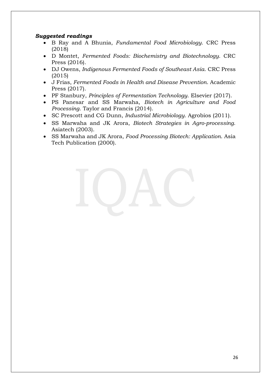- B Ray and A Bhunia, *Fundamental Food Microbiology*. CRC Press (2018)
- D Montet, *Fermented Foods: Biochemistry and Biotechnology*. CRC Press (2016).
- DJ Owens, *Indigenous Fermented Foods of Southeast Asia*. CRC Press (2015)
- J Frias, *Fermented Foods in Health and Disease Prevention*. Academic Press (2017).
- PF Stanbury, *Principles of Fermentation Technology*. Elsevier (2017).
- PS Panesar and SS Marwaha, *Biotech in Agriculture and Food Processing*. Taylor and Francis (2014).
- SC Prescott and CG Dunn, *Industrial Microbiology*. Agrobios (2011).
- SS Marwaha and JK Arora, *Biotech Strategies in Agro-processing*. Asiatech (2003).
- SS Marwaha and JK Arora, *Food Processing Biotech: Application*. Asia Tech Publication (2000).

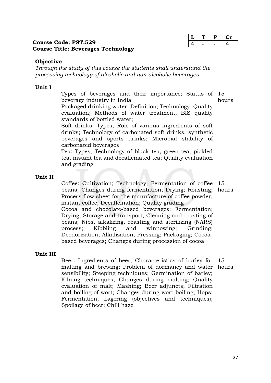## **Course Code: FST.529 Course Title: Beverages Technology**

|  | ъ. |  |
|--|----|--|
|  |    |  |

#### **Objective**

*Through the study of this course the students shall understand the processing technology of alcoholic and non-alcoholic beverages*

#### **Unit I**

Types of beverages and their importance; Status of 15 beverage industry in India hours

Packaged drinking water: Definition; Technology; Quality evaluation; Methods of water treatment, BIS quality standards of bottled water;

Soft drinks: Types; Role of various ingredients of soft drinks; Technology of carbonated soft drinks, synthetic beverages and sports drinks; Microbial stability of carbonated beverages

Tea: Types; Technology of black tea, green tea, pickled tea, instant tea and decaffeinated tea; Quality evaluation and grading

#### **Unit II**

Coffee: Cultivation; Technology; Fermentation of coffee 15 beans; Changes during fermentation; Drying; Roasting; hours Process flow sheet for the manufacture of coffee powder, instant coffee; Decaffeination; Quality grading

Cocoa and chocolate-based beverages: Fermentation; Drying; Storage and transport; Cleaning and roasting of beans; Nibs, alkalizing, roasting and sterilizing (NARS) process; Kibbling and winnowing; Grinding; Deodorization; Alkalization; Pressing; Packaging; Cocoabased beverages; Changes during procession of cocoa

#### **Unit III**

Beer: Ingredients of beer; Characteristics of barley for 15 malting and brewing; Problem of dormancy and water hours sensibility; Steeping techniques; Germination of barley; Kilning techniques; Changes during malting; Quality evaluation of malt; Mashing; Beer adjuncts; Filtration and boiling of wort; Changes during wort boiling; Hops; Fermentation; Lagering (objectives and techniques); Spoilage of beer; Chill haze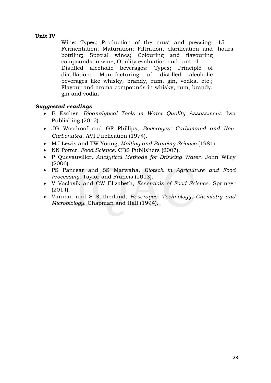### **Unit IV**

Wine: Types; Production of the must and pressing; 15 Fermentation; Maturation; Filtration, clarification and hours bottling; Special wines; Colouring and flavouring compounds in wine; Quality evaluation and control Distilled alcoholic beverages: Types; Principle of distillation; Manufacturing of distilled alcoholic beverages like whisky, brandy, rum, gin, vodka, etc.; Flavour and aroma compounds in whisky, rum, brandy, gin and vodka

- B Escher, *Bioanalytical Tools in Water Quality Assessment*. Iwa Publishing (2012).
- JG Woodroof and GF Phillips, *Beverages: Carbonated and Non-Carbonated*. AVI Publication (1974).
- MJ Lewis and TW Young, *Malting and Brewing Science* (1981).
- NN Potter, *Food Science*. CBS Publishers (2007).
- P Quevauviller, *Analytical Methods for Drinking Water*. John Wiley (2006).
- PS Panesar and SS Marwaha, *Biotech in Agriculture and Food Processing*. Taylor and Francis (2013).
- V Vaclavik and CW Elizabeth, *Essentials of Food Science*. Springer (2014).
- Varnam and S Sutherland, *Beverages: Technology, Chemistry and Microbiology*. Chapman and Hall (1994).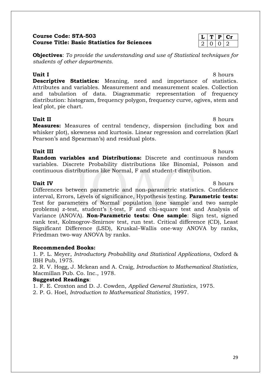#### **Course Code: STA-503 Course Title: Basic Statistics for Sciences**

**Objectives**: *To provide the understanding and use of Statistical techniques for students of other departments.*

**Descriptive Statistics:** Meaning, need and importance of statistics. Attributes and variables. Measurement and measurement scales. Collection and tabulation of data. Diagrammatic representation of frequency distribution: histogram, frequency polygon, frequency curve, ogives, stem and leaf plot, pie chart.

**Unit II** 8 hours **Measures:** Measures of central tendency, dispersion (including box and whisker plot), skewness and kurtosis. Linear regression and correlation (Karl Pearson's and Spearman's) and residual plots.

**Unit III** 8 hours **Random variables and Distributions:** Discrete and continuous random variables. Discrete Probability distributions like Binomial, Poisson and continuous distributions like Normal, F and student-t distribution.

**Unit IV** 8 hours Differences between parametric and non-parametric statistics. Confidence interval, Errors, Levels of significance, Hypothesis testing. **Parametric tests:**  Test for parameters of Normal population (one sample and two sample problems) z-test, student's t-test, F and chi-square test and Analysis of Variance (ANOVA). **Non-Parametric tests: One sample**: Sign test, signed rank test, Kolmogrov-Smirnov test, run test. Critical difference (CD), Least Significant Difference (LSD), Kruskal–Wallis one-way ANOVA by ranks, Friedman two-way ANOVA by ranks.

### **Recommended Books:**

1. P. L. Meyer, *Introductory Probability and Statistical Applications*, Oxford & IBH Pub, 1975.

2. R. V. Hogg, J. Mckean and A. Craig, *Introduction to Mathematical Statistics*, Macmillan Pub. Co. Inc., 1978.

## **Suggested Readings**:

1. F. E. Croxton and D. J. Cowden, *Applied General Statistics*, 1975.

2. P. G. Hoel, *Introduction to Mathematical Statistics*, 1997.

 $T | P | Cr$  $0 0 2$ 

**Unit I** 8 hours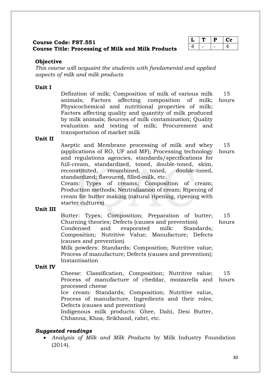## **Course Code: FST.551 Course Title: Processing of Milk and Milk Products**

|  | D |  |
|--|---|--|
|  |   |  |

#### **Objective**

*This course will acquaint the students with fundamental and applied aspects of milk and milk products*

#### **Unit I**

Definition of milk; Composition of milk of various milk animals; Factors affecting composition of milk; Physicochemical and nutritional properties of milk; Factors affecting quality and quantity of milk produced by milk animals; Sources of milk contamination; Quality evaluation and testing of milk; Procurement and transportation of market milk 15 hours

#### **Unit II**

Aseptic and Membrane processing of milk and whey (applications of RO, UF and MF); Processing technology hours and regulations agencies, standards/specifications for full-cream, standardized, toned, double-toned, skim, reconstituted, recombined, toned, double-toned, standardized; flavoured, filled-milk, etc.

Cream: Types of creams; Composition of cream; Production methods; Neutralization of cream; Ripening of cream for butter making (natural ripening, ripening with starter cultures)

#### **Unit III**

Butter: Types; Composition; Preparation of butter; Churning theories; Defects (causes and prevention) Condensed and evaporated milk: Standards; Composition; Nutritive Value; Manufacture; Defects (causes and prevention) hours

Milk powders: Standards; Composition; Nutritive value; Process of manufacture; Defects (causes and prevention); Instantisation

### **Unit IV**

Cheese: Classification, Composition; Nutritive value; Process of manufacture of cheddar, mozzarella and hours processed cheese 15

Ice cream: Standards; Composition; Nutritive value, Process of manufacture, Ingredients and their roles; Defects (causes and prevention)

Indigenous milk products: Ghee, Dahi, Desi Butter, Chhanna, Khoa, Srikhand, rabri, etc.

### *Suggested readings*

 *Analysis of Milk and Milk Products* by Milk Industry Foundation (2014).

15

15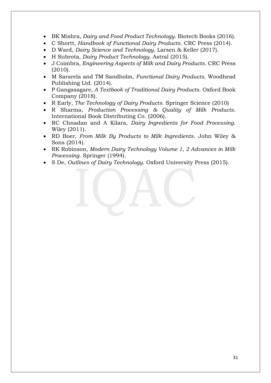- BK Mishra, *Dairy and Food Product Technology*. Biotech Books (2016).
- C Shortt, *Handbook of Functional Dairy Products*. CRC Press (2014).
- D Ward, *Dairy Science and Technology*. Larsen & Keller (2017).
- H Subrota, *Dairy Product Technology*. Astral (2015).
- J Coimbra, *Engineering Aspects of Milk and Dairy Products*. CRC Press (2010).
- M Sararela and TM Sandholm, *Functional Dairy Products*. Woodhead Publishing Ltd. (2014).
- P Gangasagare, *A Textbook of Traditional Dairy Products*. Oxford Book Company (2018).
- R Early, *The Technology of Dairy Products*. Springer Science (2010)
- R Sharma, *Production Processing & Quality of Milk Products*. International Book Distributing Co. (2006).
- RC Chnadan and A Kilara, *Dairy Ingredients for Food Processing*. Wiley (2011).
- RD Boer, *From Milk By Products to Milk Ingredients*. John Wiley & Sons (2014).
- RK Robinson, *Modern Dairy Technology Volume 1, 2 Advances in Milk Processing*. Springer (1994).
- S De, *Outlines of Dairy Technology*. Oxford University Press (2015).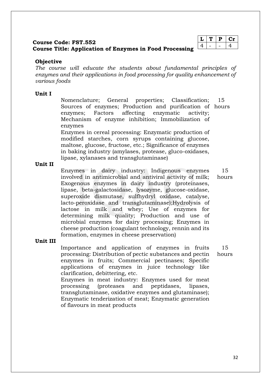## **Course Code: FST.552 Course Title: Application of Enzymes in Food Processing**

#### **Objective**

*The course will educate the students about fundamental principles of enzymes and their applications in food processing for quality enhancement of various foods*

#### **Unit I**

Nomenclature; General properties; Classification; Sources of enzymes; Production and purification of hours enzymes; Factors affecting enzymatic activity; Mechanism of enzyme inhibition; Immobilization of enzymes 15

Enzymes in cereal processing: Enzymatic production of modified starches, corn syrups containing glucose, maltose, glucose, fructose, etc.; Significance of enzymes in baking industry (amylases, protease, gluco-oxidases, lipase, xylanases and transglutaminase)

#### **Unit II**

Enzymes in dairy industry: Indigenous enzymes involved in antimicrobial and antiviral activity of milk; Exogenous enzymes in dairy industry (proteinases, lipase, beta-galactosidase, lysozyme, glucose-oxidase, superoxide dismutase, sulfhydryl oxidase, catalyse, lacto-peroxidase and transglutaminase);Hydrolysis of lactose in milk and whey; Use of enzymes for determining milk quality; Production and use of microbial enzymes for dairy processing; Enzymes in cheese production (coagulant technology, rennin and its formation, enzymes in cheese preservation) hours

### **Unit III**

Importance and application of enzymes in fruits processing: Distribution of pectic substances and pectin enzymes in fruits; Commercial pectinases; Specific applications of enzymes in juice technology like clarification, debittering, etc.

Enzymes in meat industry: Enzymes used for meat processing (proteases and peptidases, lipases, transglutaminase, oxidative enzymes and glutaminase); Enzymatic tenderization of meat; Enzymatic generation of flavours in meat products

15 hours

15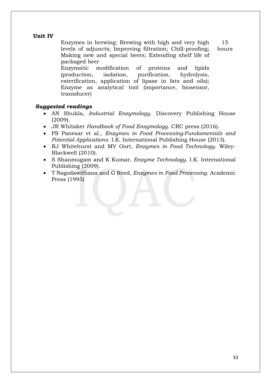## **Unit IV**

Enzymes in brewing: Brewing with high and very high levels of adjuncts; Improving filtration; Chill-proofing; Making new and special beers; Extending shelf life of packaged beer 15 hours

Enzymatic modification of proteins and lipids (production, isolation, purification, hydrolysis, esterification, application of lipase in fats and oils); Enzyme as analytical tool (importance, biosensor, transducer)

- AN Shukla, *Industrial Enzymology*. Discovery Publishing House (2009).
- JR Whitaker *Handbook of Food Enzymology*. CRC press (2016).
- PS Panesar et al., *Enzymes in Food Processing:Fundamentals and Potential Applications*. I.K. International Publishing House (2013).
- RJ Whitehurst and MV Oort, *Enzymes in Food Technology*. Wiley-Blackwell (2010).
- S Shanmugam and K Kumar, *Enzyme Technology*. I.K. International Publishing (2009).
- T Nagodawithana and G Reed, *Enzymes in Food Processing*. Academic Press (1993)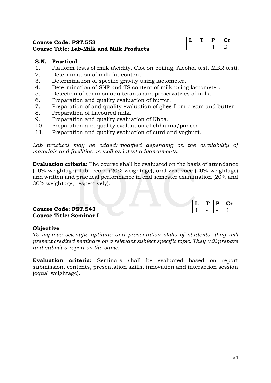### **Course Code: FST.553 Course Title: Lab-Milk and Milk Products**

### **S.N. Practical**

- 1. Platform tests of milk (Acidity, Clot on boiling, Alcohol test, MBR test).
- 2. Determination of milk fat content.
- 3. Determination of specific gravity using lactometer.
- 4. Determination of SNF and TS content of milk using lactometer.
- 5. Detection of common adulterants and preservatives of milk.
- 6. Preparation and quality evaluation of butter.
- 7. Preparation of and quality evaluation of ghee from cream and butter.
- 8. Preparation of flavoured milk.
- 9. Preparation and quality evaluation of Khoa.
- 10. Preparation and quality evaluation of chhanna/paneer.
- 11. Preparation and quality evaluation of curd and yoghurt.

Lab practical may be added/modified depending on the availability of *materials and facilities as well as latest advancements.*

**Evaluation criteria:** The course shall be evaluated on the basis of attendance (10% weightage), lab record (20% weightage), oral viva-voce (20% weightage) and written and practical performance in end semester examination (20% and 30% weightage, respectively).

|                                |  |  | $ \mathbf{T} \mathbf{P} C_{\mathbf{r}}$ |
|--------------------------------|--|--|-----------------------------------------|
| <b>Course Code: FST.543</b>    |  |  |                                         |
| <b>Course Title: Seminar-I</b> |  |  |                                         |

#### **Objective**

*To improve scientific aptitude and presentation skills of students, they will present credited seminars on a relevant subject specific topic. They will prepare and submit a report on the same.*

**Evaluation criteria:** Seminars shall be evaluated based on report submission, contents, presentation skills, innovation and interaction session (equal weightage).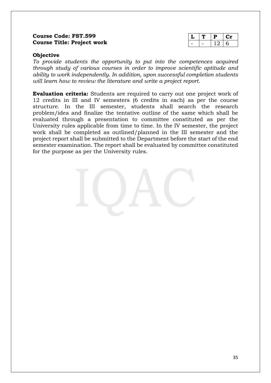### **Course Code: FST.599 Course Title: Project work**

|  | ٠ |   |
|--|---|---|
|  | . | n |

### **Objective**

*To provide students the opportunity to put into the competences acquired through study of various courses in order to improve scientific aptitude and ability to work independently. In addition, upon successful completion students will learn how to review the literature and write a project report.* 

**Evaluation criteria:** Students are required to carry out one project work of 12 credits in III and IV semesters (6 credits in each) as per the course structure. In the III semester, students shall search the research problem/idea and finalize the tentative outline of the same which shall be evaluated through a presentation to committee constituted as per the University rules applicable from time to time. In the IV semester, the project work shall be completed as outlined/planned in the III semester and the project report shall be submitted to the Department before the start of the end semester examination. The report shall be evaluated by committee constituted for the purpose as per the University rules.

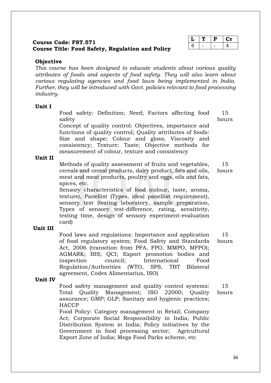## **Course Code: FST.571 Course Title: Food Safety, Regulation and Policy**

|  | г |  |
|--|---|--|
|  |   |  |

### **Objective**

*This course has been designed to educate students about various quality attributes of foods and aspects of food safety. They will also learn about various regulating agencies and food laws being implemented in India. Further, they will be introduced with Govt. policies relevant to food processing industry.*

### **Unit I**

Food safety: Definition; Need; Factors affecting food safety Concept of quality control: Objectives, importance and 15 hours

functions of quality control; Quality attributes of foods: Size and shape; Colour and gloss; Viscosity and consistency; Texture; Taste; Objective methods for measurement of colour, texture and consistency

### **Unit II**

Methods of quality assessment of fruits and vegetables, cereals and cereal products, dairy product, fats and oils, meat and meat products, poultry and eggs, oils and fats, spices, etc. 15

hours

Sensory characteristics of food (colour, taste, aroma, texture), Panellist (Types, ideal panellist requirement), sensory test (testing laboratory, sample preparation, Types of sensory test-difference, rating, sensitivity, testing time, design of sensory experiment-evaluation card)

## **Unit III**

Food laws and regulations: Importance and application of food regulatory system; Food Safety and Standards Act, 2006 (transition from PFA, FPO, MMPO, MFPO); AGMARK; BIS; QCI; Export promotion bodies and inspection council; International Food Regulation/Authorities (WTO, SPS, TBT Bilateral agreement, Codex Alimentarius, ISO) 15 hours

### **Unit IV**

Food safety management and quality control systems: Total Quality Management; ISO 22000; Quality assurance; GMP; GLP; Sanitary and hygienic practices; **HACCP** 15 hours

Food Policy: Category management in Retail; Company Act; Corporate Social Responsibility in India; Public Distribution System in India; Policy initiatives by the Government in food processing sector; Agricultural Export Zone of India; Mega Food Parks scheme, etc

36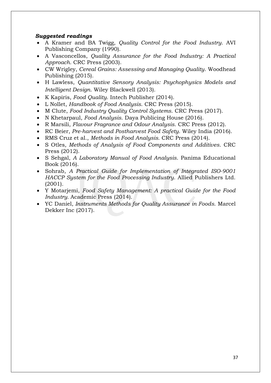- A Kramer and BA Twigg, *Quality Control for the Food Industry*. AVI Publishing Company (1990).
- A Vasconcellos, *Quality Assurance for the Food Industry: A Practical Approach.* CRC Press (2003).
- CW Wrigley, *Cereal Grains: Assessing and Managing Quality*. Woodhead Publishing (2015).
- H Lawless, *Quantitative Sensory Analysis: Psychophysics Models and Intelligent Design*. Wiley Blackwell (2013).
- K Kapiris, *Food Quality*. Intech Publisher (2014).
- L Nollet, *Handbook of Food Analysis*. CRC Press (2015).
- M Clute, *Food Industry Quality Control Systems*. CRC Press (2017).
- N Khetarpaul, *Food Analysis*. Daya Publicing House (2016).
- R Marsili, *Flavour Fragrance and Odour Analysis*. CRC Press (2012).
- RC Beier, *Pre-harvest and Postharvest Food Safety*. Wiley India (2016).
- RMS Cruz et al., *Methods in Food Analysis.* CRC Press (2014).
- S Otles, *Methods of Analysis of Food Components and Additives*. CRC Press (2012).
- S Sehgal, *A Laboratory Manual of Food Analysis*. Panima Educational Book (2016).
- Sohrab, *A Practical Guide for Implementation of Integrated ISO-9001 HACCP System for the Food Processing Industry*. Allied Publishers Ltd. (2001).
- Y Motarjemi, *Food Safety Management: A practical Guide for the Food Industry.* Academic Press (2014).
- YC Daniel, *Instruments Methods for Quality Assurance in Foods*. Marcel Dekker Inc (2017).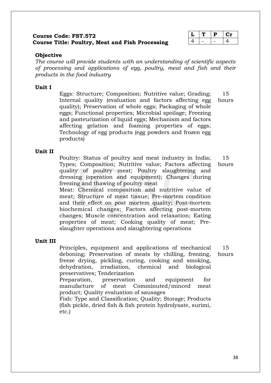## **Course Code: FST.572 Course Title: Poultry, Meat and Fish Processing**

|   | D |   |
|---|---|---|
| 4 |   | 4 |

## **Objective**

*The course will provide students with an understanding of scientific aspects of processing and applications of egg, poultry, meat and fish and their products in the food industry*

## **Unit I**

Eggs: Structure; Composition; Nutritive value; Grading; Internal quality (evaluation and factors affecting egg quality); Preservation of whole eggs; Packaging of whole eggs; Functional properties; Microbial spoilage; Freezing and pasteurization of liquid eggs; Mechanism and factors affecting gelation and foaming properties of eggs; Technology of egg products (egg powders and frozen egg products) 15 hours

### **Unit II**

Poultry: Status of poultry and meat industry in India; Types; Composition; Nutritive value; Factors affecting quality of poultry meat; Poultry slaughtering and dressing (operation and equipment); Changes during freezing and thawing of poultry meat 15 hours

Meat: Chemical composition and nutritive value of meat; Structure of meat tissue; Pre-mortem condition and their effect on post mortem quality; Post-mortem biochemical changes; Factors affecting post-mortem changes; Muscle concentration and relaxation; Eating properties of meat; Cooking quality of meat; Preslaughter operations and slaughtering operations

### **Unit III**

Principles, equipment and applications of mechanical deboning; Preservation of meats by chilling, freezing, freeze drying, pickling, curing, cooking and smoking, dehydration, irradiation, chemical and biological preservatives; Tenderization

Preparation, preservation and equipment for manufacture of meat Comminuted/minced meat product; Quality evaluation of sausages

Fish: Type and Classification; Quality; Storage; Products (fish pickle, dried fish & fish protein hydrolysate, surimi, etc.)

15 hours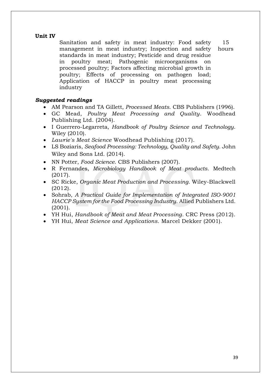## **Unit IV**

Sanitation and safety in meat industry: Food safety management in meat industry; Inspection and safety standards in meat industry; Pesticide and drug residue in poultry meat; Pathogenic microorganisms on processed poultry; Factors affecting microbial growth in poultry; Effects of processing on pathogen load; Application of HACCP in poultry meat processing industry 15 hours

- AM Pearson and TA Gillett, *Processed Meats*. CBS Publishers (1996).
- GC Mead, *Poultry Meat Processing and Quality*. Woodhead Publishing Ltd. (2004).
- I Guerrero-Legarreta, *Handbook of Poultry Science and Technology*. Wiley (2010).
- *Lawrie's Meat Science* Woodhead Publishing (2017).
- LS Boziaris, *Seafood Processing: Technology, Quality and Safety*. John Wiley and Sons Ltd. (2014).
- NN Potter, *Food Science*. CBS Publishers (2007).
- R Fernandes, *Microbiology Handbook of Meat products*. Medtech (2017).
- SC Ricke, *Organic Meat Production and Processing*. Wiley-Blackwell (2012).
- Sohrab, *A Practical Guide for Implementation of Integrated ISO-9001 HACCP System for the Food Processing Industry*. Allied Publishers Ltd. (2001).
- YH Hui, *Handbook of Meat and Meat Processing*. CRC Press (2012).
- YH Hui, *Meat Science and Applications*. Marcel Dekker (2001).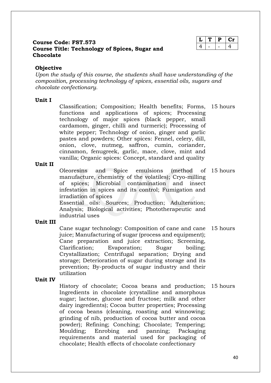|  | u. |  |
|--|----|--|
|  |    |  |

## **Course Code: FST.573 Course Title: Technology of Spices, Sugar and Chocolate**

## **Objective**

*Upon the study of this course, the students shall have understanding of the composition, processing technology of spices, essential oils, sugars and chocolate confectionary.*

### **Unit I**

Classification; Composition; Health benefits; Forms, 15 hours functions and applications of spices; Processing technology of major spices (black pepper, small cardamom, ginger, chilli and turmeric); Processing of white pepper; Technology of onion, ginger and garlic pastes and powders; Other spices: Fennel, celery, dill, onion, clove, nutmeg, saffron, cumin, coriander, cinnamon, fenugreek, garlic, mace, clove, mint and vanilla; Organic spices: Concept, standard and quality

### **Unit II**

Oleoresins and Spice emulsions (method manufacture, chemistry of the volatiles); Cryo-milling of spices; Microbial contamination and insect infestation in spices and its control; Fumigation and irradiation of spices 15 hours

Essential oils: Sources; Production; Adulteration; Analysis; Biological activities; Phototherapeutic and industrial uses

### **Unit III**

Cane sugar technology: Composition of cane and cane 15 hours juice; Manufacturing of sugar (process and equipment); Cane preparation and juice extraction; Screening, Clarification; Evaporation; Sugar boiling; Crystallization; Centrifugal separation; Drying and storage; Deterioration of sugar during storage and its prevention; By-products of sugar industry and their utilization

### **Unit IV**

History of chocolate; Cocoa beans and production; 15 hours Ingredients in chocolate (crystalline and amorphous sugar; lactose, glucose and fructose; milk and other dairy ingredients); Cocoa butter properties; Processing of cocoa beans (cleaning, roasting and winnowing; grinding of nib, production of cocoa butter and cocoa powder); Refining; Conching; Chocolate; Tempering; Moulding; Enrobing and panning; Packaging requirements and material used for packaging of chocolate; Health effects of chocolate confectionary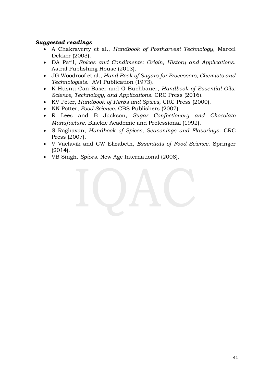- A Chakraverty et al., *Handbook of Postharvest Technology*, Marcel Dekker (2003).
- DA Patil, *Spices and Condiments: Origin, History and Applications*. Astral Publishing House (2013).
- JG Woodroof et al., *Hand Book of Sugars for Processors, Chemists and Technologists*. AVI Publication (1973).
- K Husnu Can Baser and G Buchbauer, *Handbook of Essential Oils: Science, Technology, and Applications*. CRC Press (2016).
- KV Peter, *Handbook of Herbs and Spices*, CRC Press (2000).
- NN Potter, *Food Science*. CBS Publishers (2007).
- R Lees and B Jackson, *Sugar Confectionery and Chocolate Manufacture*. Blackie Academic and Professional (1992).
- S Raghavan, *Handbook of Spices, Seasonings and Flavorings*. CRC Press (2007).
- V Vaclavik and CW Elizabeth, *Essentials of Food Science*. Springer (2014).
- VB Singh, *Spices*. New Age International (2008).

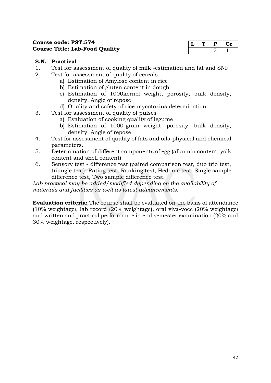## **Course code: FST.574 Course Title: Lab-Food Quality**

|   | D |  |
|---|---|--|
| - |   |  |

## **S.N. Practical**

- 1. Test for assessment of quality of milk -estimation and fat and SNF
- 2. Test for assessment of quality of cereals
	- a) Estimation of Amylose content in rice
	- b) Estimation of gluten content in dough
	- c) Estimation of 1000kernel weight, porosity, bulk density, density, Angle of repose
	- d) Quality and safety of rice-mycotoxins determination
- 3. Test for assessment of quality of pulses
	- a) Evaluation of cooking quality of legume
	- b) Estimation of 1000-grain weight, porosity, bulk density, density, Angle of repose
- 4. Test for assessment of quality of fats and oils-physical and chemical parameters.
- 5. Determination of different components of egg (albumin content, yolk content and shell content)
- 6. Sensory test difference test (paired comparison test, duo trio test, triangle test); Rating test -Ranking test, Hedonic test, Single sample difference test, Two sample difference test.

Lab practical may be added/modified depending on the availability of *materials and facilities as well as latest advancements.*

**Evaluation criteria:** The course shall be evaluated on the basis of attendance (10% weightage), lab record (20% weightage), oral viva-voce (20% weightage) and written and practical performance in end semester examination (20% and 30% weightage, respectively).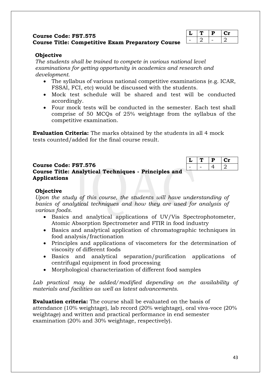## **Course Code: FST.575 Course Title: Competitive Exam Preparatory Course**

|  | н |  |
|--|---|--|
|  | _ |  |

## **Objective**

*The students shall be trained to compete in various national level examinations for getting opportunity in academics and research and development.*

- The syllabus of various national competitive examinations (e.g. ICAR, FSSAI, FCI, etc) would be discussed with the students.
- Mock test schedule will be shared and test will be conducted accordingly.
- Four mock tests will be conducted in the semester. Each test shall comprise of 50 MCQs of 25% weightage from the syllabus of the competitive examination.

**Evaluation Criteria:** The marks obtained by the students in all 4 mock tests counted/added for the final course result.

#### **Course Code: FST.576 Course Title: Analytical Techniques - Principles and Applications L T P Cr**   $4$   $2$

## **Objective**

*Upon the study of this course, the students will have understanding of basics of analytical techniques and how they are used for analysis of various foods.*

- Basics and analytical applications of UV/Vis Spectrophotometer, Atomic Absorption Spectrometer and FTIR in food industry
- Basics and analytical application of chromatographic techniques in food analysis/fractionation
- Principles and applications of viscometers for the determination of viscosity of different foods
- Basics and analytical separation/purification applications of centrifugal equipment in food processing
- Morphological characterization of different food samples

Lab practical may be added/modified depending on the availability of *materials and facilities as well as latest advancements.*

**Evaluation criteria:** The course shall be evaluated on the basis of attendance (10% weightage), lab record (20% weightage), oral viva-voce (20% weightage) and written and practical performance in end semester examination (20% and 30% weightage, respectively).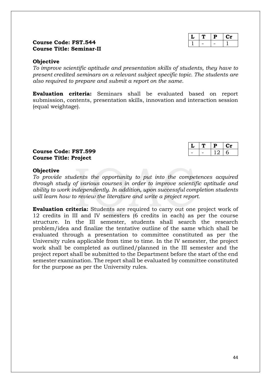#### **Course Code: FST.544 Course Title: Seminar-II**

#### **Objective**

*To improve scientific aptitude and presentation skills of students, they have to present credited seminars on a relevant subject specific topic. The students are also required to prepare and submit a report on the same.*

**Evaluation criteria:** Seminars shall be evaluated based on report submission, contents, presentation skills, innovation and interaction session (equal weightage).

|  | <b>Course Code: FST.599</b>  |
|--|------------------------------|
|  | <b>Course Title: Project</b> |

|  | P | Œ |
|--|---|---|
|  |   | Ω |

#### **Objective**

*To provide students the opportunity to put into the competences acquired through study of various courses in order to improve scientific aptitude and ability to work independently. In addition, upon successful completion students will learn how to review the literature and write a project report.* 

**Evaluation criteria:** Students are required to carry out one project work of 12 credits in III and IV semesters (6 credits in each) as per the course structure. In the III semester, students shall search the research problem/idea and finalize the tentative outline of the same which shall be evaluated through a presentation to committee constituted as per the University rules applicable from time to time. In the IV semester, the project work shall be completed as outlined/planned in the III semester and the project report shall be submitted to the Department before the start of the end semester examination. The report shall be evaluated by committee constituted for the purpose as per the University rules.

|   | D |  |
|---|---|--|
| – | _ |  |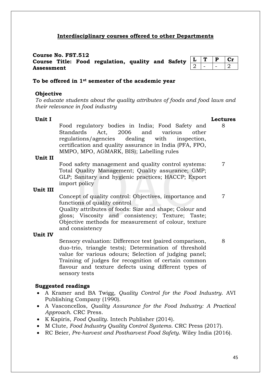## **Interdisciplinary courses offered to other Departments**

## **Course No. FST.512**

**Course Title: Food regulation, quality and Safety Assessment**

|  | в |  |
|--|---|--|
|  |   |  |

#### **To be offered in 1st semester of the academic year**

#### **Objective**

*To educate students about the quality attributes of foods and food laws and their relevance in food industry*

**Unit I Lectures** Food regulatory bodies in India; Food Safety and Standards Act, 2006 and various other regulations/agencies dealing with inspection, certification and quality assurance in India (PFA, FPO, MMPO, MPO, AGMARK, BIS); Labelling rules 8 **Unit II** Food safety management and quality control systems: Total Quality Management; Quality assurance; GMP; GLP; Sanitary and hygienic practices; HACCP; Export 7

#### **Unit III**

import policy

Concept of quality control: Objectives, importance and functions of quality control 7

Quality attributes of foods: Size and shape; Colour and gloss; Viscosity and consistency; Texture; Taste; Objective methods for measurement of colour, texture and consistency

#### **Unit IV**

Sensory evaluation: Difference test (paired comparison, duo-trio, triangle tests); Determination of threshold value for various odours; Selection of judging panel; Training of judges for recognition of certain common flavour and texture defects using different types of sensory tests 8

- A Kramer and BA Twigg, *Quality Control for the Food Industry*. AVI Publishing Company (1990).
- A Vasconcellos, *Quality Assurance for the Food Industry: A Practical Approach*. CRC Press.
- K Kapiris, *Food Quality*. Intech Publisher (2014).
- M Clute, *Food Industry Quality Control Systems*. CRC Press (2017).
- RC Beier, *Pre-harvest and Postharvest Food Safety*. Wiley India (2016).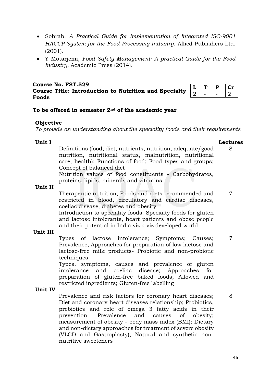- Sohrab, *A Practical Guide for Implementation of Integrated ISO-9001 HACCP System for the Food Processing Industry*. Allied Publishers Ltd. (2001).
- Y Motarjemi, *Food Safety Management: A practical Guide for the Food Industry*. Academic Press (2014).

#### **Course No. FST.529 Course Title: Introduction to Nutrition and Specialty Foods**

|   | J. |  |
|---|----|--|
| _ | _  |  |

### **To be offered in semester 2nd of the academic year**

#### **Objective**

*To provide an understanding about the speciality foods and their requirements*

#### **Unit I Lectures** 8

7

7

8

Definitions (food, diet, nutrients, nutrition, adequate/good nutrition, nutritional status, malnutrition, nutritional care, health); Functions of food; Food types and groups; Concept of balanced diet Nutrition values of food constituents - Carbohydrates,

proteins, lipids, minerals and vitamins

#### **Unit II**

Therapeutic nutrition; Foods and diets recommended and restricted in blood, circulatory and cardiac diseases, coeliac disease, diabetes and obesity

Introduction to speciality foods: Specialty foods for gluten and lactose intolerants, heart patients and obese people and their potential in India viz a viz developed world

#### **Unit III**

Types of lactose intolerance; Symptoms; Causes; Prevalence; Approaches for preparation of low lactose and lactose-free milk products- Probiotic and non-probiotic techniques

Types, symptoms, causes and prevalence of gluten intolerance and coeliac disease; Approaches for preparation of gluten-free baked foods; Allowed and restricted ingredients; Gluten-free labelling

#### **Unit IV**

Prevalence and risk factors for coronary heart diseases; Diet and coronary heart diseases relationship; Probiotics, prebiotics and role of omega 3 fatty acids in their prevention. Prevalence and causes of obesity; measurement of obesity - body mass index (BMI); Dietary and non-dietary approaches for treatment of severe obesity (VLCD and Gastroplasty); Natural and synthetic nonnutritive sweeteners